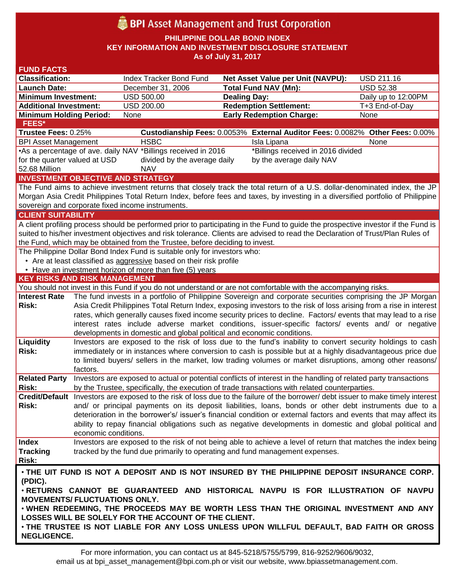# **BPI** Asset Management and Trust Corporation

**PHILIPPINE DOLLAR BOND INDEX**

**KEY INFORMATION AND INVESTMENT DISCLOSURE STATEMENT**

**As of July 31, 2017**

| <b>FUND FACTS</b>                                                                                                                  |                      |                                                                                                                                                                                                                                      |                                                                                                                                 |                     |  |
|------------------------------------------------------------------------------------------------------------------------------------|----------------------|--------------------------------------------------------------------------------------------------------------------------------------------------------------------------------------------------------------------------------------|---------------------------------------------------------------------------------------------------------------------------------|---------------------|--|
| <b>Classification:</b>                                                                                                             |                      | Index Tracker Bond Fund                                                                                                                                                                                                              | Net Asset Value per Unit (NAVPU):                                                                                               | USD 211.16          |  |
| <b>Launch Date:</b>                                                                                                                |                      | December 31, 2006                                                                                                                                                                                                                    | <b>Total Fund NAV (Mn):</b>                                                                                                     | <b>USD 52.38</b>    |  |
| <b>Minimum Investment:</b>                                                                                                         |                      | <b>USD 500.00</b>                                                                                                                                                                                                                    | <b>Dealing Day:</b>                                                                                                             | Daily up to 12:00PM |  |
| <b>Additional Investment:</b>                                                                                                      |                      | USD 200.00                                                                                                                                                                                                                           | <b>Redemption Settlement:</b>                                                                                                   | T+3 End-of-Day      |  |
| <b>Minimum Holding Period:</b>                                                                                                     |                      | None                                                                                                                                                                                                                                 | <b>Early Redemption Charge:</b>                                                                                                 | None                |  |
| <b>FEES*</b>                                                                                                                       |                      |                                                                                                                                                                                                                                      |                                                                                                                                 |                     |  |
| Trustee Fees: 0.25%                                                                                                                |                      |                                                                                                                                                                                                                                      | Custodianship Fees: 0.0053% External Auditor Fees: 0.0082% Other Fees: 0.00%                                                    |                     |  |
| <b>BPI Asset Management</b>                                                                                                        |                      | <b>HSBC</b>                                                                                                                                                                                                                          | Isla Lipana                                                                                                                     | None                |  |
| •As a percentage of ave. daily NAV *Billings received in 2016<br>*Billings received in 2016 divided                                |                      |                                                                                                                                                                                                                                      |                                                                                                                                 |                     |  |
| for the quarter valued at USD                                                                                                      |                      | divided by the average daily                                                                                                                                                                                                         | by the average daily NAV                                                                                                        |                     |  |
| 52.68 Million<br><b>NAV</b>                                                                                                        |                      |                                                                                                                                                                                                                                      |                                                                                                                                 |                     |  |
| <b>INVESTMENT OBJECTIVE AND STRATEGY</b>                                                                                           |                      |                                                                                                                                                                                                                                      |                                                                                                                                 |                     |  |
| The Fund aims to achieve investment returns that closely track the total return of a U.S. dollar-denominated index, the JP         |                      |                                                                                                                                                                                                                                      |                                                                                                                                 |                     |  |
| Morgan Asia Credit Philippines Total Return Index, before fees and taxes, by investing in a diversified portfolio of Philippine    |                      |                                                                                                                                                                                                                                      |                                                                                                                                 |                     |  |
| sovereign and corporate fixed income instruments.                                                                                  |                      |                                                                                                                                                                                                                                      |                                                                                                                                 |                     |  |
| <b>CLIENT SUITABILITY</b>                                                                                                          |                      |                                                                                                                                                                                                                                      |                                                                                                                                 |                     |  |
| A client profiling process should be performed prior to participating in the Fund to guide the prospective investor if the Fund is |                      |                                                                                                                                                                                                                                      |                                                                                                                                 |                     |  |
| suited to his/her investment objectives and risk tolerance. Clients are advised to read the Declaration of Trust/Plan Rules of     |                      |                                                                                                                                                                                                                                      |                                                                                                                                 |                     |  |
| the Fund, which may be obtained from the Trustee, before deciding to invest.                                                       |                      |                                                                                                                                                                                                                                      |                                                                                                                                 |                     |  |
|                                                                                                                                    |                      | The Philippine Dollar Bond Index Fund is suitable only for investors who:                                                                                                                                                            |                                                                                                                                 |                     |  |
| • Are at least classified as aggressive based on their risk profile                                                                |                      |                                                                                                                                                                                                                                      |                                                                                                                                 |                     |  |
|                                                                                                                                    |                      | • Have an investment horizon of more than five (5) years                                                                                                                                                                             |                                                                                                                                 |                     |  |
| <b>KEY RISKS AND RISK MANAGEMENT</b>                                                                                               |                      |                                                                                                                                                                                                                                      |                                                                                                                                 |                     |  |
|                                                                                                                                    |                      |                                                                                                                                                                                                                                      | You should not invest in this Fund if you do not understand or are not comfortable with the accompanying risks.                 |                     |  |
| <b>Interest Rate</b>                                                                                                               |                      |                                                                                                                                                                                                                                      | The fund invests in a portfolio of Philippine Sovereign and corporate securities comprising the JP Morgan                       |                     |  |
| <b>Risk:</b>                                                                                                                       |                      | Asia Credit Philippines Total Return Index, exposing investors to the risk of loss arising from a rise in interest<br>rates, which generally causes fixed income security prices to decline. Factors/ events that may lead to a rise |                                                                                                                                 |                     |  |
|                                                                                                                                    |                      |                                                                                                                                                                                                                                      |                                                                                                                                 |                     |  |
|                                                                                                                                    |                      |                                                                                                                                                                                                                                      | interest rates include adverse market conditions, issuer-specific factors/ events and/ or negative                              |                     |  |
|                                                                                                                                    |                      | developments in domestic and global political and economic conditions.                                                                                                                                                               |                                                                                                                                 |                     |  |
| Liquidity<br>Risk:                                                                                                                 |                      |                                                                                                                                                                                                                                      | Investors are exposed to the risk of loss due to the fund's inability to convert security holdings to cash                      |                     |  |
|                                                                                                                                    |                      |                                                                                                                                                                                                                                      | immediately or in instances where conversion to cash is possible but at a highly disadvantageous price due                      |                     |  |
|                                                                                                                                    |                      |                                                                                                                                                                                                                                      | to limited buyers/ sellers in the market, low trading volumes or market disruptions, among other reasons/                       |                     |  |
| <b>Related Party</b>                                                                                                               | factors.             |                                                                                                                                                                                                                                      | Investors are exposed to actual or potential conflicts of interest in the handling of related party transactions                |                     |  |
| <b>Risk:</b>                                                                                                                       |                      |                                                                                                                                                                                                                                      | by the Trustee, specifically, the execution of trade transactions with related counterparties.                                  |                     |  |
|                                                                                                                                    |                      |                                                                                                                                                                                                                                      | Credit/Default Investors are exposed to the risk of loss due to the failure of the borrower/debt issuer to make timely interest |                     |  |
| <b>Risk:</b>                                                                                                                       |                      |                                                                                                                                                                                                                                      | and/ or principal payments on its deposit liabilities, loans, bonds or other debt instruments due to a                          |                     |  |
|                                                                                                                                    |                      |                                                                                                                                                                                                                                      | deterioration in the borrower's/ issuer's financial condition or external factors and events that may affect its                |                     |  |
|                                                                                                                                    |                      |                                                                                                                                                                                                                                      | ability to repay financial obligations such as negative developments in domestic and global political and                       |                     |  |
|                                                                                                                                    | economic conditions. |                                                                                                                                                                                                                                      |                                                                                                                                 |                     |  |
| <b>Index</b>                                                                                                                       |                      |                                                                                                                                                                                                                                      | Investors are exposed to the risk of not being able to achieve a level of return that matches the index being                   |                     |  |
| <b>Tracking</b>                                                                                                                    |                      |                                                                                                                                                                                                                                      | tracked by the fund due primarily to operating and fund management expenses.                                                    |                     |  |
| <b>Risk:</b>                                                                                                                       |                      |                                                                                                                                                                                                                                      |                                                                                                                                 |                     |  |
|                                                                                                                                    |                      |                                                                                                                                                                                                                                      |                                                                                                                                 |                     |  |
| . THE UIT FUND IS NOT A DEPOSIT AND IS NOT INSURED BY THE PHILIPPINE DEPOSIT INSURANCE CORP.                                       |                      |                                                                                                                                                                                                                                      |                                                                                                                                 |                     |  |
| (PDIC).<br>. RETURNS CANNOT BE GUARANTEED AND HISTORICAL NAVPU IS FOR ILLUSTRATION OF NAVPU                                        |                      |                                                                                                                                                                                                                                      |                                                                                                                                 |                     |  |
| <b>MOVEMENTS/ FLUCTUATIONS ONLY.</b>                                                                                               |                      |                                                                                                                                                                                                                                      |                                                                                                                                 |                     |  |
| . WHEN REDEEMING, THE PROCEEDS MAY BE WORTH LESS THAN THE ORIGINAL INVESTMENT AND ANY                                              |                      |                                                                                                                                                                                                                                      |                                                                                                                                 |                     |  |
| LOSSES WILL BE SOLELY FOR THE ACCOUNT OF THE CLIENT.                                                                               |                      |                                                                                                                                                                                                                                      |                                                                                                                                 |                     |  |
| . THE TRUSTEE IS NOT LIABLE FOR ANY LOSS UNLESS UPON WILLFUL DEFAULT, BAD FAITH OR GROSS                                           |                      |                                                                                                                                                                                                                                      |                                                                                                                                 |                     |  |
| <b>NEGLIGENCE.</b>                                                                                                                 |                      |                                                                                                                                                                                                                                      |                                                                                                                                 |                     |  |
|                                                                                                                                    |                      |                                                                                                                                                                                                                                      |                                                                                                                                 |                     |  |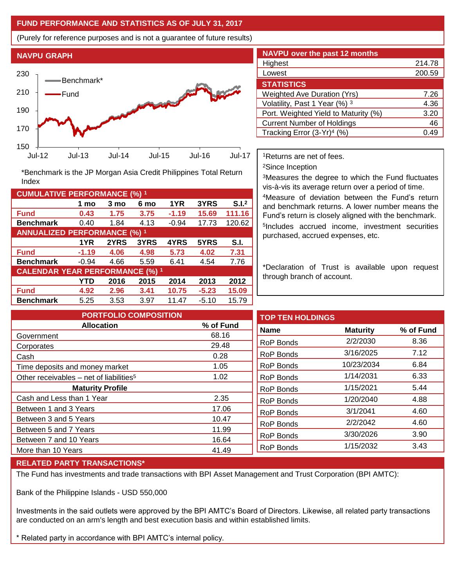## **FUND PERFORMANCE AND STATISTICS AS OF JULY 31, 2017**

(Purely for reference purposes and is not a guarantee of future results)



**Fund 0.43 1.75 3.75 -1.19 15.69 111.16 Benchmark** 0.40 1.84 4.13 -0.94 17.73 120.62

\*Benchmark is the JP Morgan Asia Credit Philippines Total Return

**Fund -1.19 4.06 4.98 5.73 4.02 7.31 Benchmark** -0.94 4.66 5.59 6.41 4.54 7.76

**Fund 4.92 2.96 3.41 10.75 -5.23 15.09 Benchmark** 5.25 3.53 3.97 11.47 -5.10 15.79

**1 mo 3 mo 6 mo 1YR 3YRS S.I.<sup>2</sup>**

**1YR 2YRS 3YRS 4YRS 5YRS S.I.**

**YTD 2016 2015 2014 2013 2012**

| <b>NAVPU over the past 12 months</b>   |        |  |  |  |  |
|----------------------------------------|--------|--|--|--|--|
| Highest                                | 214.78 |  |  |  |  |
| Lowest                                 | 200.59 |  |  |  |  |
| <b>STATISTICS</b>                      |        |  |  |  |  |
| <b>Weighted Ave Duration (Yrs)</b>     | 7.26   |  |  |  |  |
| Volatility, Past 1 Year (%) 3          | 4.36   |  |  |  |  |
| Port. Weighted Yield to Maturity (%)   | 3.20   |  |  |  |  |
| <b>Current Number of Holdings</b>      | 46     |  |  |  |  |
| Tracking Error (3-Yr) <sup>4</sup> (%) | 49     |  |  |  |  |

<sup>1</sup>Returns are net of fees.

<sup>2</sup>Since Inception

<sup>3</sup>Measures the degree to which the Fund fluctuates vis-à-vis its average return over a period of time.

<sup>4</sup>Measure of deviation between the Fund's return and benchmark returns. A lower number means the Fund's return is closely aligned with the benchmark. 5 Includes accrued income, investment securities purchased, accrued expenses, etc.

\*Declaration of Trust is available upon request through branch of account.

**TOP TEN HOLDINGS Name Maturity % of Fund** RoP Bonds 2/2/2030 8.36 RoP Bonds 3/16/2025 7.12 RoP Bonds 10/23/2034 6.84 RoP Bonds 1/14/2031 6.33 RoP Bonds 1/15/2021 5.44 RoP Bonds 1/20/2040 4.88 RoP Bonds 3/1/2041 4.60 RoP Bonds 2/2/2042 4.60 RoP Bonds 3/30/2026 3.90 RoP Bonds 1/15/2032 3.43 **PORTFOLIO COMPOSITION Allocation % of Fund** Government 68.16 Corporates 29.48 Cash 0.28 Time deposits and money market 1.05 Other receivables – net of liabilities<sup>5</sup>  $1.02$ **Maturity Profile** Cash and Less than 1 Year 2.35 Between 1 and 3 Years 17.06 Between 3 and 5 Years 10.47 Between 5 and 7 Years 11.99 Between 7 and 10 Years 16.64 More than 10 Years 41.49

## **RELATED PARTY TRANSACTIONS\***

**CUMULATIVE PERFORMANCE (%) <sup>1</sup>**

Index

**ANNUALIZED PERFORMANCE (%) <sup>1</sup>**

**CALENDAR YEAR PERFORMANCE (%) <sup>1</sup>**

The Fund has investments and trade transactions with BPI Asset Management and Trust Corporation (BPI AMTC):

Bank of the Philippine Islands - USD 550,000

Investments in the said outlets were approved by the BPI AMTC's Board of Directors. Likewise, all related party transactions are conducted on an arm's length and best execution basis and within established limits.

\* Related party in accordance with BPI AMTC's internal policy.